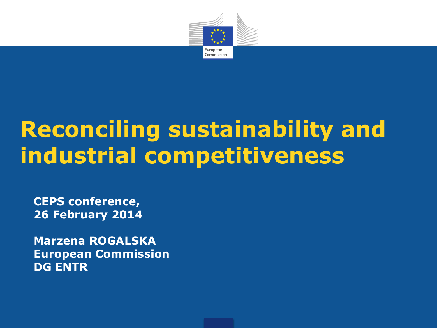

# **Reconciling sustainability and industrial competitiveness**

**CEPS conference, 26 February 2014**

**Marzena ROGALSKA European Commission DG ENTR**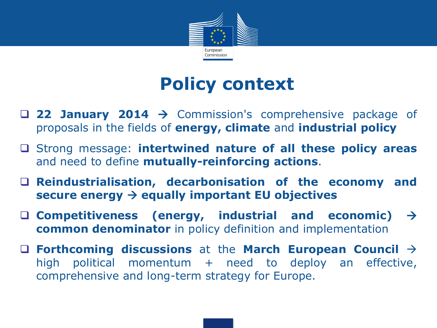

## **Policy context**

- **22 January 2014** Commission's comprehensive package of proposals in the fields of **energy, climate** and **industrial policy**
- Strong message: **intertwined nature of all these policy areas** and need to define **mutually-reinforcing actions**.
- **Reindustrialisation, decarbonisation of the economy and secure energy equally important EU objectives**
- **Competitiveness (energy, industrial and economic) common denominator** in policy definition and implementation
- **Forthcoming discussions** at the **March European Council** high political momentum + need to deploy an effective, comprehensive and long-term strategy for Europe.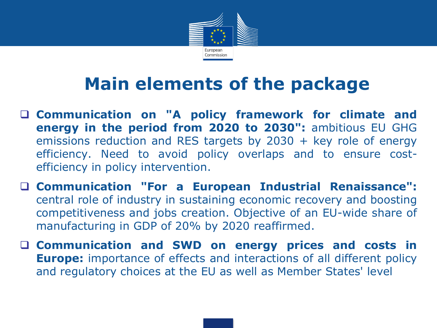

# **Main elements of the package**

- **Communication on "A policy framework for climate and energy in the period from 2020 to 2030":** ambitious EU GHG emissions reduction and RES targets by 2030 + key role of energy efficiency. Need to avoid policy overlaps and to ensure costefficiency in policy intervention.
- **Communication "For a European Industrial Renaissance":** central role of industry in sustaining economic recovery and boosting competitiveness and jobs creation. Objective of an EU-wide share of manufacturing in GDP of 20% by 2020 reaffirmed.
- **Communication and SWD on energy prices and costs in Europe:** importance of effects and interactions of all different policy and regulatory choices at the EU as well as Member States' level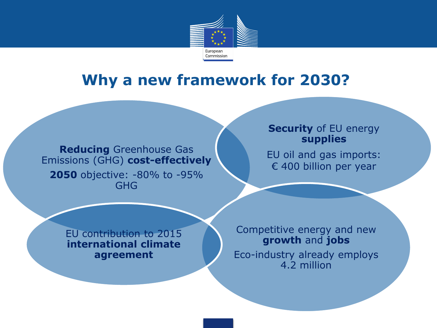

### **Why a new framework for 2030?**

**Reducing** Greenhouse Gas Emissions (GHG) **cost-effectively 2050** objective: -80% to -95% GHG

#### **Security** of EU energy **supplies**

EU oil and gas imports: € 400 billion per year

EU contribution to 2015 **international climate agreement**

Competitive energy and new **growth** and **jobs**  Eco-industry already employs 4.2 million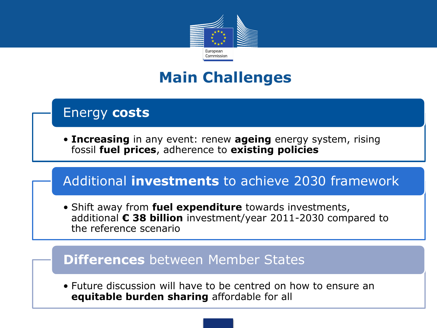

### **Main Challenges**

#### Energy **costs**

• **Increasing** in any event: renew **ageing** energy system, rising fossil **fuel prices**, adherence to **existing policies**

#### Additional **investments** to achieve 2030 framework

• Shift away from **fuel expenditure** towards investments, additional **€ 38 billion** investment/year 2011-2030 compared to the reference scenario

#### **Differences** between Member States

• Future discussion will have to be centred on how to ensure an **equitable burden sharing** affordable for all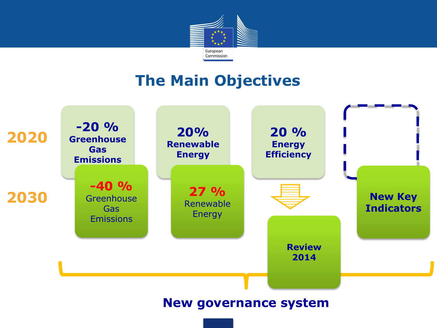

### **The Main Objectives**

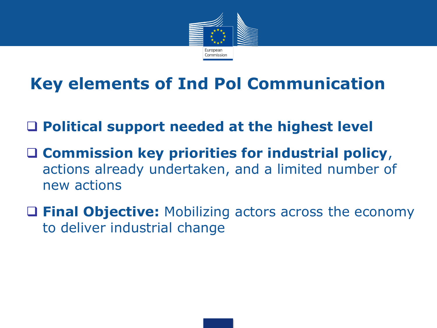

# **Key elements of Ind Pol Communication**

### **Political support needed at the highest level**

- **Commission key priorities for industrial policy**, actions already undertaken, and a limited number of new actions
- **Final Objective:** Mobilizing actors across the economy to deliver industrial change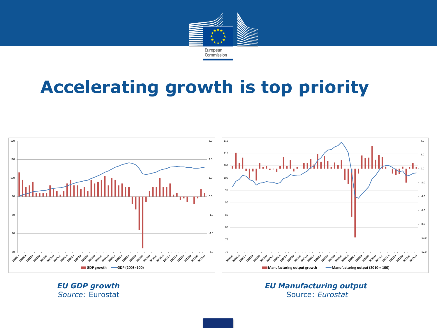

# **Accelerating growth is top priority**



*EU GDP growth Source:* Eurostat

*EU Manufacturing output*  Source: *Eurostat*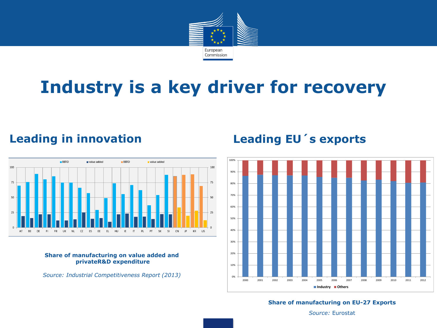

# **Industry is a key driver for recovery**

#### **Leading in innovation**



#### **Share of manufacturing on value added and privateR&D expenditure**

*Source: Industrial Competitiveness Report (2013)*

#### **Leading EU´s exports**



#### **Share of manufacturing on EU-27 Exports**

*Source:* Eurostat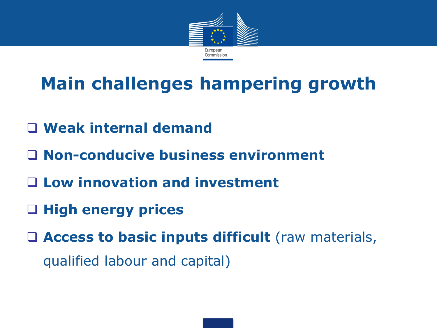

# **Main challenges hampering growth**

- **Weak internal demand**
- **Non-conducive business environment**
- **Low innovation and investment**
- **High energy prices**

 **Access to basic inputs difficult** (raw materials, qualified labour and capital)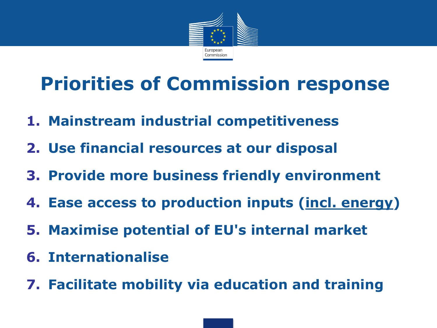

# **Priorities of Commission response**

- **1. Mainstream industrial competitiveness**
- **2. Use financial resources at our disposal**
- **3. Provide more business friendly environment**
- **4. Ease access to production inputs (incl. energy)**
- **5. Maximise potential of EU's internal market**
- **6. Internationalise**
- **7. Facilitate mobility via education and training**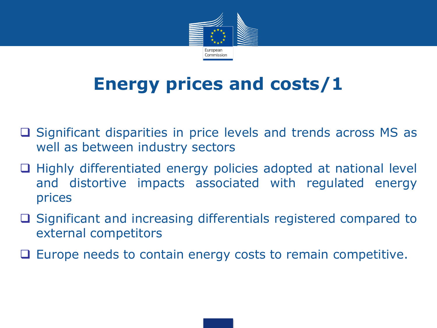

# **Energy prices and costs/1**

- $\square$  Significant disparities in price levels and trends across MS as well as between industry sectors
- $\Box$  Highly differentiated energy policies adopted at national level and distortive impacts associated with regulated energy prices
- □ Significant and increasing differentials registered compared to external competitors
- $\Box$  Europe needs to contain energy costs to remain competitive.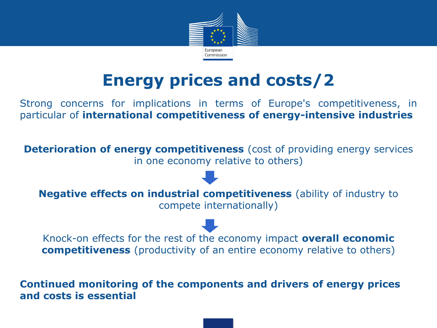

# **Energy prices and costs/2**

Strong concerns for implications in terms of Europe's competitiveness, in particular of **international competitiveness of energy-intensive industries**

**Deterioration of energy competitiveness** (cost of providing energy services in one economy relative to others)

**Negative effects on industrial competitiveness** (ability of industry to compete internationally)

Knock-on effects for the rest of the economy impact **overall economic competitiveness** (productivity of an entire economy relative to others)

**Continued monitoring of the components and drivers of energy prices and costs is essential**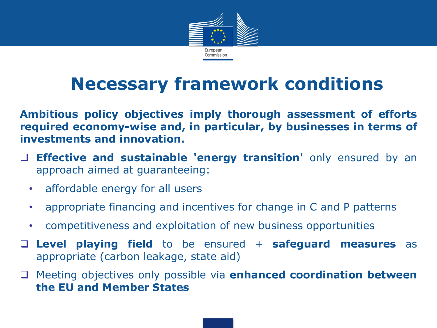

# **Necessary framework conditions**

**Ambitious policy objectives imply thorough assessment of efforts required economy-wise and, in particular, by businesses in terms of investments and innovation.**

- **Effective and sustainable 'energy transition'** only ensured by an approach aimed at guaranteeing:
	- affordable energy for all users
	- appropriate financing and incentives for change in C and P patterns
	- competitiveness and exploitation of new business opportunities
- **Level playing field** to be ensured + **safeguard measures** as appropriate (carbon leakage, state aid)
- Meeting objectives only possible via **enhanced coordination between the EU and Member States**